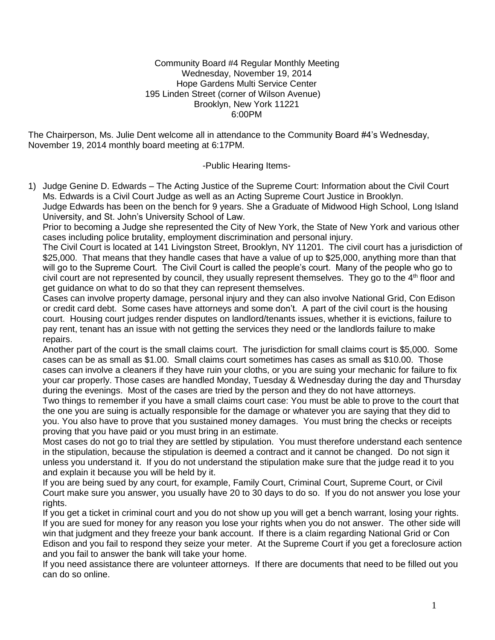#### Community Board #4 Regular Monthly Meeting Wednesday, November 19, 2014 Hope Gardens Multi Service Center 195 Linden Street (corner of Wilson Avenue) Brooklyn, New York 11221 6:00PM

The Chairperson, Ms. Julie Dent welcome all in attendance to the Community Board #4's Wednesday, November 19, 2014 monthly board meeting at 6:17PM.

# -Public Hearing Items-

1) Judge Genine D. Edwards – The Acting Justice of the Supreme Court: Information about the Civil Court Ms. Edwards is a Civil Court Judge as well as an Acting Supreme Court Justice in Brooklyn. Judge Edwards has been on the bench for 9 years. She a Graduate of Midwood High School, Long Island University, and St. John's University School of Law.

Prior to becoming a Judge she represented the City of New York, the State of New York and various other cases including police brutality, employment discrimination and personal injury.

The Civil Court is located at 141 Livingston Street, Brooklyn, NY 11201. The civil court has a jurisdiction of \$25,000. That means that they handle cases that have a value of up to \$25,000, anything more than that will go to the Supreme Court. The Civil Court is called the people's court. Many of the people who go to civil court are not represented by council, they usually represent themselves. They go to the  $4<sup>th</sup>$  floor and get guidance on what to do so that they can represent themselves.

Cases can involve property damage, personal injury and they can also involve National Grid, Con Edison or credit card debt. Some cases have attorneys and some don't. A part of the civil court is the housing court. Housing court judges render disputes on landlord/tenants issues, whether it is evictions, failure to pay rent, tenant has an issue with not getting the services they need or the landlords failure to make repairs.

Another part of the court is the small claims court. The jurisdiction for small claims court is \$5,000. Some cases can be as small as \$1.00. Small claims court sometimes has cases as small as \$10.00. Those cases can involve a cleaners if they have ruin your cloths, or you are suing your mechanic for failure to fix your car properly. Those cases are handled Monday, Tuesday & Wednesday during the day and Thursday during the evenings. Most of the cases are tried by the person and they do not have attorneys.

Two things to remember if you have a small claims court case: You must be able to prove to the court that the one you are suing is actually responsible for the damage or whatever you are saying that they did to you. You also have to prove that you sustained money damages. You must bring the checks or receipts proving that you have paid or you must bring in an estimate.

Most cases do not go to trial they are settled by stipulation. You must therefore understand each sentence in the stipulation, because the stipulation is deemed a contract and it cannot be changed. Do not sign it unless you understand it. If you do not understand the stipulation make sure that the judge read it to you and explain it because you will be held by it.

If you are being sued by any court, for example, Family Court, Criminal Court, Supreme Court, or Civil Court make sure you answer, you usually have 20 to 30 days to do so. If you do not answer you lose your rights.

If you get a ticket in criminal court and you do not show up you will get a bench warrant, losing your rights. If you are sued for money for any reason you lose your rights when you do not answer. The other side will win that judgment and they freeze your bank account. If there is a claim regarding National Grid or Con Edison and you fail to respond they seize your meter. At the Supreme Court if you get a foreclosure action and you fail to answer the bank will take your home.

If you need assistance there are volunteer attorneys. If there are documents that need to be filled out you can do so online.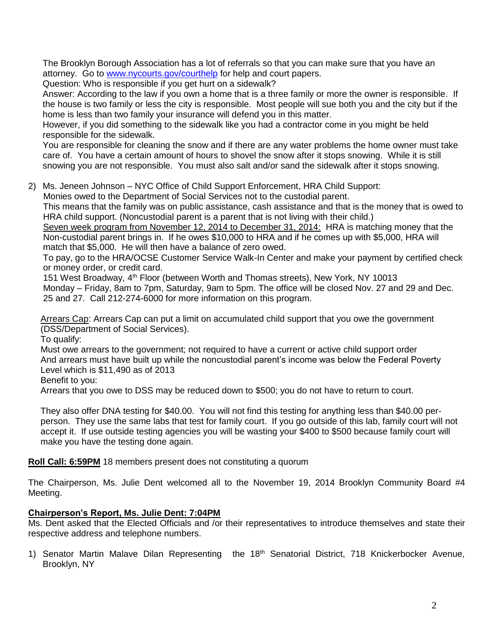The Brooklyn Borough Association has a lot of referrals so that you can make sure that you have an attorney. Go to [www.nycourts.gov/courthelp](http://www.nycourts.gov/courthelp) for help and court papers.

Question: Who is responsible if you get hurt on a sidewalk?

Answer: According to the law if you own a home that is a three family or more the owner is responsible. If the house is two family or less the city is responsible. Most people will sue both you and the city but if the home is less than two family your insurance will defend you in this matter.

However, if you did something to the sidewalk like you had a contractor come in you might be held responsible for the sidewalk.

You are responsible for cleaning the snow and if there are any water problems the home owner must take care of. You have a certain amount of hours to shovel the snow after it stops snowing. While it is still snowing you are not responsible. You must also salt and/or sand the sidewalk after it stops snowing.

2) Ms. Jeneen Johnson – NYC Office of Child Support Enforcement, HRA Child Support:

Monies owed to the Department of Social Services not to the custodial parent.

 This means that the family was on public assistance, cash assistance and that is the money that is owed to HRA child support. (Noncustodial parent is a parent that is not living with their child.)

 Seven week program from November 12, 2014 to December 31, 2014: HRA is matching money that the Non-custodial parent brings in. If he owes \$10,000 to HRA and if he comes up with \$5,000, HRA will match that \$5,000. He will then have a balance of zero owed.

 To pay, go to the HRA/OCSE Customer Service Walk-In Center and make your payment by certified check or money order, or credit card.

151 West Broadway, 4<sup>th</sup> Floor (between Worth and Thomas streets), New York, NY 10013 Monday – Friday, 8am to 7pm, Saturday, 9am to 5pm. The office will be closed Nov. 27 and 29 and Dec. 25 and 27. Call 212-274-6000 for more information on this program.

Arrears Cap: Arrears Cap can put a limit on accumulated child support that you owe the government (DSS/Department of Social Services).

To qualify:

 Must owe arrears to the government; not required to have a current or active child support order And arrears must have built up while the noncustodial parent's income was below the Federal Poverty Level which is \$11,490 as of 2013

Benefit to you:

Arrears that you owe to DSS may be reduced down to \$500; you do not have to return to court.

 They also offer DNA testing for \$40.00. You will not find this testing for anything less than \$40.00 per person. They use the same labs that test for family court. If you go outside of this lab, family court will not accept it. If use outside testing agencies you will be wasting your \$400 to \$500 because family court will make you have the testing done again.

**Roll Call: 6:59PM** 18 members present does not constituting a quorum

The Chairperson, Ms. Julie Dent welcomed all to the November 19, 2014 Brooklyn Community Board #4 Meeting.

# **Chairperson's Report, Ms. Julie Dent: 7:04PM**

Ms. Dent asked that the Elected Officials and /or their representatives to introduce themselves and state their respective address and telephone numbers.

1) Senator Martin Malave Dilan Representing the 18<sup>th</sup> Senatorial District, 718 Knickerbocker Avenue, Brooklyn, NY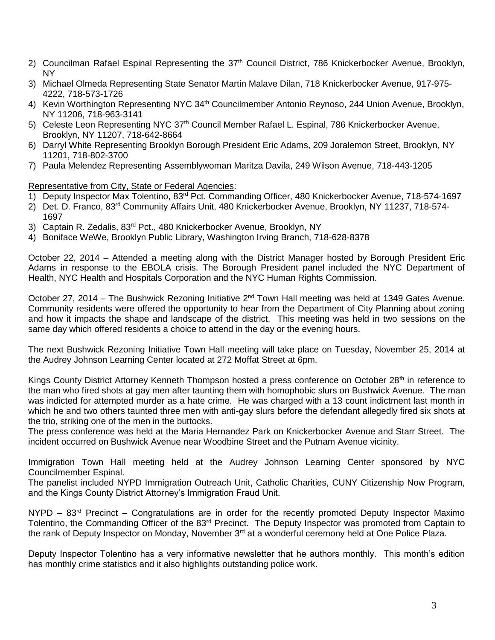- 2) Councilman Rafael Espinal Representing the 37<sup>th</sup> Council District, 786 Knickerbocker Avenue, Brooklyn, NY
- 3) Michael Olmeda Representing State Senator Martin Malave Dilan, 718 Knickerbocker Avenue, 917-975- 4222, 718-573-1726
- 4) Kevin Worthington Representing NYC 34<sup>th</sup> Councilmember Antonio Reynoso, 244 Union Avenue, Brooklyn, NY 11206, 718-963-3141
- 5) Celeste Leon Representing NYC 37<sup>th</sup> Council Member Rafael L. Espinal, 786 Knickerbocker Avenue, Brooklyn, NY 11207, 718-642-8664
- 6) Darryl White Representing Brooklyn Borough President Eric Adams, 209 Joralemon Street, Brooklyn, NY 11201, 718-802-3700
- 7) Paula Melendez Representing Assemblywoman Maritza Davila, 249 Wilson Avenue, 718-443-1205

#### Representative from City, State or Federal Agencies:

- 1) Deputy Inspector Max Tolentino, 83rd Pct. Commanding Officer, 480 Knickerbocker Avenue, 718-574-1697
- 2) Det. D. Franco, 83rd Community Affairs Unit, 480 Knickerbocker Avenue, Brooklyn, NY 11237, 718-574- 1697
- 3) Captain R. Zedalis, 83<sup>rd</sup> Pct., 480 Knickerbocker Avenue, Brooklyn, NY
- 4) Boniface WeWe, Brooklyn Public Library, Washington Irving Branch, 718-628-8378

October 22, 2014 – Attended a meeting along with the District Manager hosted by Borough President Eric Adams in response to the EBOLA crisis. The Borough President panel included the NYC Department of Health, NYC Health and Hospitals Corporation and the NYC Human Rights Commission.

October 27, 2014 – The Bushwick Rezoning Initiative 2<sup>nd</sup> Town Hall meeting was held at 1349 Gates Avenue. Community residents were offered the opportunity to hear from the Department of City Planning about zoning and how it impacts the shape and landscape of the district. This meeting was held in two sessions on the same day which offered residents a choice to attend in the day or the evening hours.

The next Bushwick Rezoning Initiative Town Hall meeting will take place on Tuesday, November 25, 2014 at the Audrey Johnson Learning Center located at 272 Moffat Street at 6pm.

Kings County District Attorney Kenneth Thompson hosted a press conference on October 28<sup>th</sup> in reference to the man who fired shots at gay men after taunting them with homophobic slurs on Bushwick Avenue. The man was indicted for attempted murder as a hate crime. He was charged with a 13 count indictment last month in which he and two others taunted three men with anti-gay slurs before the defendant allegedly fired six shots at the trio, striking one of the men in the buttocks.

The press conference was held at the Maria Hernandez Park on Knickerbocker Avenue and Starr Street. The incident occurred on Bushwick Avenue near Woodbine Street and the Putnam Avenue vicinity.

Immigration Town Hall meeting held at the Audrey Johnson Learning Center sponsored by NYC Councilmember Espinal.

The panelist included NYPD Immigration Outreach Unit, Catholic Charities, CUNY Citizenship Now Program, and the Kings County District Attorney's Immigration Fraud Unit.

 $NYPD - 83<sup>rd</sup>$  Precinct – Congratulations are in order for the recently promoted Deputy Inspector Maximo Tolentino, the Commanding Officer of the 83<sup>rd</sup> Precinct. The Deputy Inspector was promoted from Captain to the rank of Deputy Inspector on Monday, November 3<sup>rd</sup> at a wonderful ceremony held at One Police Plaza.

Deputy Inspector Tolentino has a very informative newsletter that he authors monthly. This month's edition has monthly crime statistics and it also highlights outstanding police work.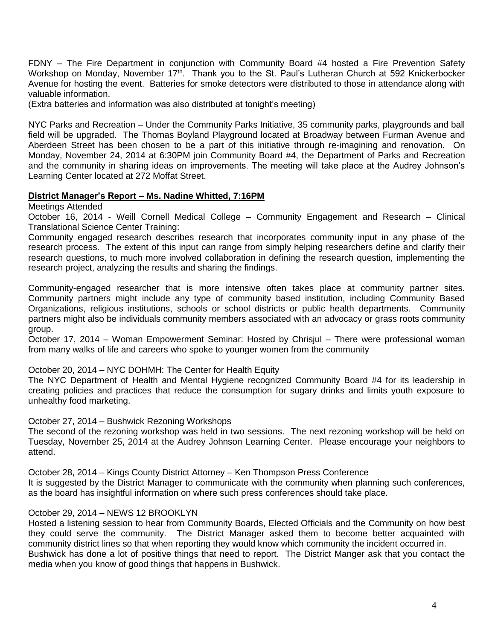FDNY – The Fire Department in conjunction with Community Board #4 hosted a Fire Prevention Safety Workshop on Monday, November 17<sup>th</sup>. Thank you to the St. Paul's Lutheran Church at 592 Knickerbocker Avenue for hosting the event. Batteries for smoke detectors were distributed to those in attendance along with valuable information.

(Extra batteries and information was also distributed at tonight's meeting)

NYC Parks and Recreation – Under the Community Parks Initiative, 35 community parks, playgrounds and ball field will be upgraded. The Thomas Boyland Playground located at Broadway between Furman Avenue and Aberdeen Street has been chosen to be a part of this initiative through re-imagining and renovation. On Monday, November 24, 2014 at 6:30PM join Community Board #4, the Department of Parks and Recreation and the community in sharing ideas on improvements. The meeting will take place at the Audrey Johnson's Learning Center located at 272 Moffat Street.

# **District Manager's Report – Ms. Nadine Whitted, 7:16PM**

Meetings Attended

October 16, 2014 - Weill Cornell Medical College – Community Engagement and Research – Clinical Translational Science Center Training:

Community engaged research describes research that incorporates community input in any phase of the research process. The extent of this input can range from simply helping researchers define and clarify their research questions, to much more involved collaboration in defining the research question, implementing the research project, analyzing the results and sharing the findings.

Community-engaged researcher that is more intensive often takes place at community partner sites. Community partners might include any type of community based institution, including Community Based Organizations, religious institutions, schools or school districts or public health departments. Community partners might also be individuals community members associated with an advocacy or grass roots community group.

October 17, 2014 – Woman Empowerment Seminar: Hosted by Chrisjul – There were professional woman from many walks of life and careers who spoke to younger women from the community

October 20, 2014 – NYC DOHMH: The Center for Health Equity

The NYC Department of Health and Mental Hygiene recognized Community Board #4 for its leadership in creating policies and practices that reduce the consumption for sugary drinks and limits youth exposure to unhealthy food marketing.

October 27, 2014 – Bushwick Rezoning Workshops

The second of the rezoning workshop was held in two sessions. The next rezoning workshop will be held on Tuesday, November 25, 2014 at the Audrey Johnson Learning Center. Please encourage your neighbors to attend.

October 28, 2014 – Kings County District Attorney – Ken Thompson Press Conference It is suggested by the District Manager to communicate with the community when planning such conferences, as the board has insightful information on where such press conferences should take place.

# October 29, 2014 – NEWS 12 BROOKLYN

Hosted a listening session to hear from Community Boards, Elected Officials and the Community on how best they could serve the community. The District Manager asked them to become better acquainted with community district lines so that when reporting they would know which community the incident occurred in. Bushwick has done a lot of positive things that need to report. The District Manger ask that you contact the media when you know of good things that happens in Bushwick.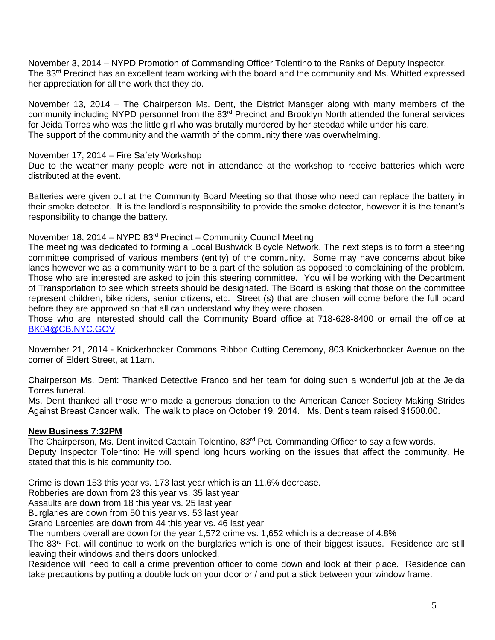November 3, 2014 – NYPD Promotion of Commanding Officer Tolentino to the Ranks of Deputy Inspector. The 83<sup>rd</sup> Precinct has an excellent team working with the board and the community and Ms. Whitted expressed her appreciation for all the work that they do.

November 13, 2014 – The Chairperson Ms. Dent, the District Manager along with many members of the community including NYPD personnel from the 83rd Precinct and Brooklyn North attended the funeral services for Jeida Torres who was the little girl who was brutally murdered by her stepdad while under his care. The support of the community and the warmth of the community there was overwhelming.

# November 17, 2014 – Fire Safety Workshop

Due to the weather many people were not in attendance at the workshop to receive batteries which were distributed at the event.

Batteries were given out at the Community Board Meeting so that those who need can replace the battery in their smoke detector. It is the landlord's responsibility to provide the smoke detector, however it is the tenant's responsibility to change the battery.

#### November 18, 2014 – NYPD 83rd Precinct – Community Council Meeting

The meeting was dedicated to forming a Local Bushwick Bicycle Network. The next steps is to form a steering committee comprised of various members (entity) of the community. Some may have concerns about bike lanes however we as a community want to be a part of the solution as opposed to complaining of the problem. Those who are interested are asked to join this steering committee. You will be working with the Department of Transportation to see which streets should be designated. The Board is asking that those on the committee represent children, bike riders, senior citizens, etc. Street (s) that are chosen will come before the full board before they are approved so that all can understand why they were chosen.

Those who are interested should call the Community Board office at 718-628-8400 or email the office at [BK04@CB.NYC.GOV.](mailto:BK04@CB.NYC.GOV)

November 21, 2014 - Knickerbocker Commons Ribbon Cutting Ceremony, 803 Knickerbocker Avenue on the corner of Eldert Street, at 11am.

Chairperson Ms. Dent: Thanked Detective Franco and her team for doing such a wonderful job at the Jeida Torres funeral.

Ms. Dent thanked all those who made a generous donation to the American Cancer Society Making Strides Against Breast Cancer walk. The walk to place on October 19, 2014. Ms. Dent's team raised \$1500.00.

# **New Business 7:32PM**

The Chairperson, Ms. Dent invited Captain Tolentino, 83<sup>rd</sup> Pct. Commanding Officer to say a few words. Deputy Inspector Tolentino: He will spend long hours working on the issues that affect the community. He stated that this is his community too.

Crime is down 153 this year vs. 173 last year which is an 11.6% decrease.

Robberies are down from 23 this year vs. 35 last year

Assaults are down from 18 this year vs. 25 last year

Burglaries are down from 50 this year vs. 53 last year

Grand Larcenies are down from 44 this year vs. 46 last year

The numbers overall are down for the year 1,572 crime vs. 1,652 which is a decrease of 4.8%

The 83<sup>rd</sup> Pct. will continue to work on the burglaries which is one of their biggest issues. Residence are still leaving their windows and theirs doors unlocked.

Residence will need to call a crime prevention officer to come down and look at their place. Residence can take precautions by putting a double lock on your door or / and put a stick between your window frame.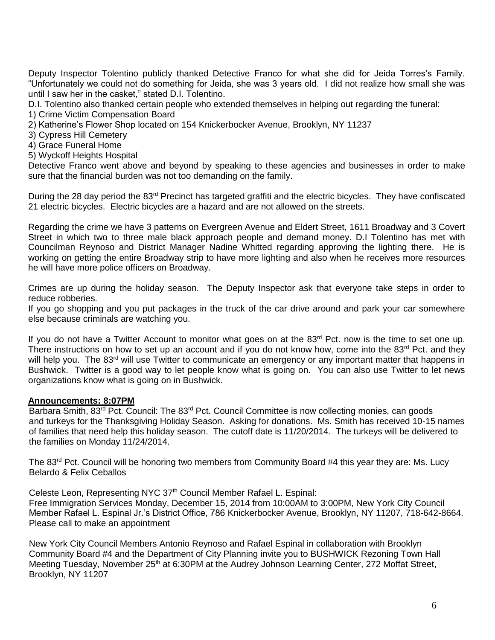Deputy Inspector Tolentino publicly thanked Detective Franco for what she did for Jeida Torres's Family. "Unfortunately we could not do something for Jeida, she was 3 years old. I did not realize how small she was until I saw her in the casket," stated D.I. Tolentino.

D.I. Tolentino also thanked certain people who extended themselves in helping out regarding the funeral:

1) Crime Victim Compensation Board

2) Katherine's Flower Shop located on 154 Knickerbocker Avenue, Brooklyn, NY 11237

3) Cypress Hill Cemetery

4) Grace Funeral Home

5) Wyckoff Heights Hospital

Detective Franco went above and beyond by speaking to these agencies and businesses in order to make sure that the financial burden was not too demanding on the family.

During the 28 day period the 83<sup>rd</sup> Precinct has targeted graffiti and the electric bicycles. They have confiscated 21 electric bicycles. Electric bicycles are a hazard and are not allowed on the streets.

Regarding the crime we have 3 patterns on Evergreen Avenue and Eldert Street, 1611 Broadway and 3 Covert Street in which two to three male black approach people and demand money. D.I Tolentino has met with Councilman Reynoso and District Manager Nadine Whitted regarding approving the lighting there. He is working on getting the entire Broadway strip to have more lighting and also when he receives more resources he will have more police officers on Broadway.

Crimes are up during the holiday season. The Deputy Inspector ask that everyone take steps in order to reduce robberies.

If you go shopping and you put packages in the truck of the car drive around and park your car somewhere else because criminals are watching you.

If you do not have a Twitter Account to monitor what goes on at the 83<sup>rd</sup> Pct. now is the time to set one up. There instructions on how to set up an account and if you do not know how, come into the 83<sup>rd</sup> Pct. and they will help you. The 83<sup>rd</sup> will use Twitter to communicate an emergency or any important matter that happens in Bushwick. Twitter is a good way to let people know what is going on. You can also use Twitter to let news organizations know what is going on in Bushwick.

#### **Announcements: 8:07PM**

Barbara Smith, 83<sup>rd</sup> Pct. Council: The 83<sup>rd</sup> Pct. Council Committee is now collecting monies, can goods and turkeys for the Thanksgiving Holiday Season. Asking for donations. Ms. Smith has received 10-15 names of families that need help this holiday season. The cutoff date is 11/20/2014. The turkeys will be delivered to the families on Monday 11/24/2014.

The 83<sup>rd</sup> Pct. Council will be honoring two members from Community Board #4 this year they are: Ms. Lucy Belardo & Felix Ceballos

Celeste Leon, Representing NYC 37<sup>th</sup> Council Member Rafael L. Espinal:

 Free Immigration Services Monday, December 15, 2014 from 10:00AM to 3:00PM, New York City Council Member Rafael L. Espinal Jr.'s District Office, 786 Knickerbocker Avenue, Brooklyn, NY 11207, 718-642-8664. Please call to make an appointment

 New York City Council Members Antonio Reynoso and Rafael Espinal in collaboration with Brooklyn Community Board #4 and the Department of City Planning invite you to BUSHWICK Rezoning Town Hall Meeting Tuesday, November 25<sup>th</sup> at 6:30PM at the Audrey Johnson Learning Center, 272 Moffat Street, Brooklyn, NY 11207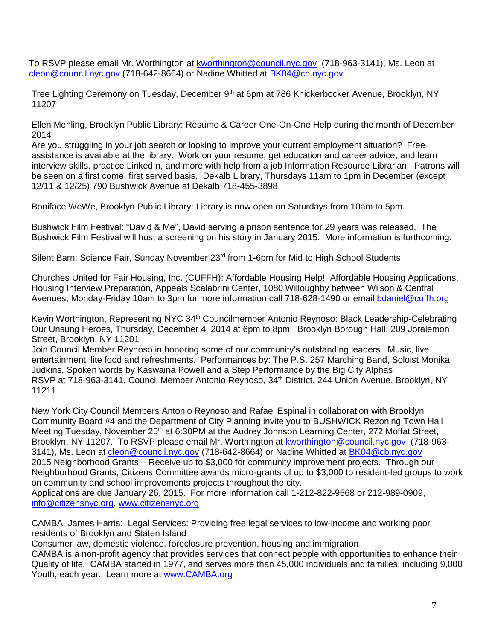To RSVP please email Mr. Worthington at [kworthington@council.nyc.gov](mailto:kworthington@council.nyc.gov) (718-963-3141), Ms. Leon at [cleon@council.nyc.gov](mailto:cleon@council.nyc.gov) (718-642-8664) or Nadine Whitted at [BK04@cb.nyc.gov](mailto:BK04@cb.nyc.gov)

Tree Lighting Ceremony on Tuesday, December 9<sup>th</sup> at 6pm at 786 Knickerbocker Avenue, Brooklyn, NY 11207

 Ellen Mehling, Brooklyn Public Library: Resume & Career One-On-One Help during the month of December 2014

 Are you struggling in your job search or looking to improve your current employment situation? Free assistance is available at the library. Work on your resume, get education and career advice, and learn interview skills, practice LinkedIn, and more with help from a job Information Resource Librarian. Patrons will be seen on a first come, first served basis. Dekalb Library, Thursdays 11am to 1pm in December (except 12/11 & 12/25) 790 Bushwick Avenue at Dekalb 718-455-3898

Boniface WeWe, Brooklyn Public Library: Library is now open on Saturdays from 10am to 5pm.

 Bushwick Film Festival: "David & Me", David serving a prison sentence for 29 years was released. The Bushwick Film Festival will host a screening on his story in January 2015. More information is forthcoming.

Silent Barn: Science Fair, Sunday November 23<sup>rd</sup> from 1-6pm for Mid to High School Students

 Churches United for Fair Housing, Inc. (CUFFH): Affordable Housing Help! Affordable Housing Applications, Housing Interview Preparation, Appeals Scalabrini Center, 1080 Willoughby between Wilson & Central Avenues, Monday-Friday 10am to 3pm for more information call 718-628-1490 or email [bdaniel@cuffh.org](mailto:bdaniel@cuffh.org)

 Kevin Worthington, Representing NYC 34th Councilmember Antonio Reynoso: Black Leadership-Celebrating Our Unsung Heroes, Thursday, December 4, 2014 at 6pm to 8pm. Brooklyn Borough Hall, 209 Joralemon Street, Brooklyn, NY 11201

 Join Council Member Reynoso in honoring some of our community's outstanding leaders. Music, live entertainment, lite food and refreshments. Performances by: The P.S. 257 Marching Band, Soloist Monika Judkins, Spoken words by Kaswaina Powell and a Step Performance by the Big City Alphas RSVP at 718-963-3141, Council Member Antonio Reynoso, 34<sup>th</sup> District, 244 Union Avenue, Brooklyn, NY 11211

 New York City Council Members Antonio Reynoso and Rafael Espinal in collaboration with Brooklyn Community Board #4 and the Department of City Planning invite you to BUSHWICK Rezoning Town Hall Meeting Tuesday, November 25<sup>th</sup> at 6:30PM at the Audrey Johnson Learning Center, 272 Moffat Street, Brooklyn, NY 11207. To RSVP please email Mr. Worthington at [kworthington@council.nyc.gov](mailto:kworthington@council.nyc.gov) (718-963- 3141), Ms. Leon at [cleon@council.nyc.gov](mailto:cleon@council.nyc.gov) (718-642-8664) or Nadine Whitted at [BK04@cb.nyc.gov](mailto:BK04@cb.nyc.gov) 2015 Neighborhood Grants – Receive up to \$3,000 for community improvement projects. Through our Neighborhood Grants, Citizens Committee awards micro-grants of up to \$3,000 to resident-led groups to work on community and school improvements projects throughout the city.

 Applications are due January 26, 2015. For more information call 1-212-822-9568 or 212-989-0909, [info@citizensnyc.org,](mailto:info@citizensnyc.org) [www.citizensnyc.org](http://www.citizensnyc.org/) 

 CAMBA, James Harris: Legal Services: Providing free legal services to low-income and working poor residents of Brooklyn and Staten Island

Consumer law, domestic violence, foreclosure prevention, housing and immigration

 CAMBA is a non-profit agency that provides services that connect people with opportunities to enhance their Quality of life. CAMBA started in 1977, and serves more than 45,000 individuals and families, including 9,000 Youth, each year. Learn more at [www.CAMBA.org](http://www.camba.org/)